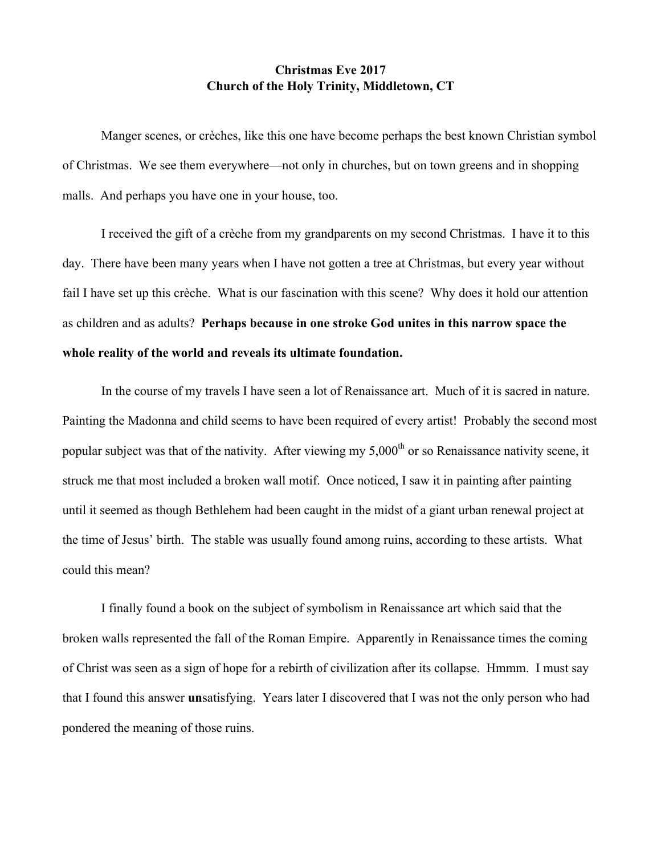## **Christmas Eve 2017 Church of the Holy Trinity, Middletown, CT**

Manger scenes, or crèches, like this one have become perhaps the best known Christian symbol of Christmas. We see them everywhere—not only in churches, but on town greens and in shopping malls. And perhaps you have one in your house, too.

I received the gift of a crèche from my grandparents on my second Christmas. I have it to this day. There have been many years when I have not gotten a tree at Christmas, but every year without fail I have set up this crèche. What is our fascination with this scene? Why does it hold our attention as children and as adults? **Perhaps because in one stroke God unites in this narrow space the whole reality of the world and reveals its ultimate foundation.**

In the course of my travels I have seen a lot of Renaissance art. Much of it is sacred in nature. Painting the Madonna and child seems to have been required of every artist! Probably the second most popular subject was that of the nativity. After viewing my  $5,000<sup>th</sup>$  or so Renaissance nativity scene, it struck me that most included a broken wall motif. Once noticed, I saw it in painting after painting until it seemed as though Bethlehem had been caught in the midst of a giant urban renewal project at the time of Jesus' birth. The stable was usually found among ruins, according to these artists. What could this mean?

I finally found a book on the subject of symbolism in Renaissance art which said that the broken walls represented the fall of the Roman Empire. Apparently in Renaissance times the coming of Christ was seen as a sign of hope for a rebirth of civilization after its collapse. Hmmm. I must say that I found this answer **un**satisfying. Years later I discovered that I was not the only person who had pondered the meaning of those ruins.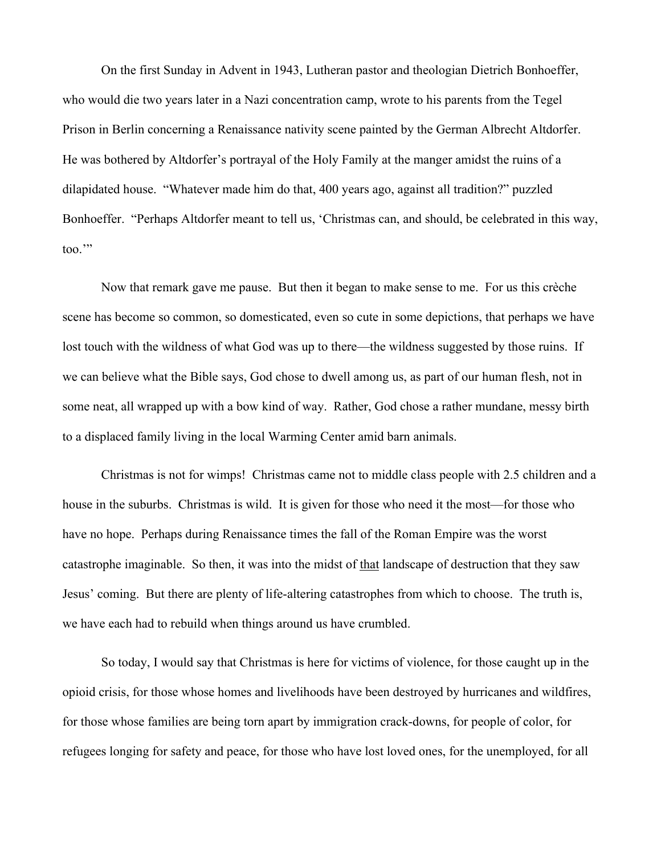On the first Sunday in Advent in 1943, Lutheran pastor and theologian Dietrich Bonhoeffer, who would die two years later in a Nazi concentration camp, wrote to his parents from the Tegel Prison in Berlin concerning a Renaissance nativity scene painted by the German Albrecht Altdorfer. He was bothered by Altdorfer's portrayal of the Holy Family at the manger amidst the ruins of a dilapidated house. "Whatever made him do that, 400 years ago, against all tradition?" puzzled Bonhoeffer. "Perhaps Altdorfer meant to tell us, 'Christmas can, and should, be celebrated in this way, too.'"

Now that remark gave me pause. But then it began to make sense to me. For us this crèche scene has become so common, so domesticated, even so cute in some depictions, that perhaps we have lost touch with the wildness of what God was up to there—the wildness suggested by those ruins. If we can believe what the Bible says, God chose to dwell among us, as part of our human flesh, not in some neat, all wrapped up with a bow kind of way. Rather, God chose a rather mundane, messy birth to a displaced family living in the local Warming Center amid barn animals.

Christmas is not for wimps! Christmas came not to middle class people with 2.5 children and a house in the suburbs. Christmas is wild. It is given for those who need it the most—for those who have no hope. Perhaps during Renaissance times the fall of the Roman Empire was the worst catastrophe imaginable. So then, it was into the midst of that landscape of destruction that they saw Jesus' coming. But there are plenty of life-altering catastrophes from which to choose. The truth is, we have each had to rebuild when things around us have crumbled.

So today, I would say that Christmas is here for victims of violence, for those caught up in the opioid crisis, for those whose homes and livelihoods have been destroyed by hurricanes and wildfires, for those whose families are being torn apart by immigration crack-downs, for people of color, for refugees longing for safety and peace, for those who have lost loved ones, for the unemployed, for all